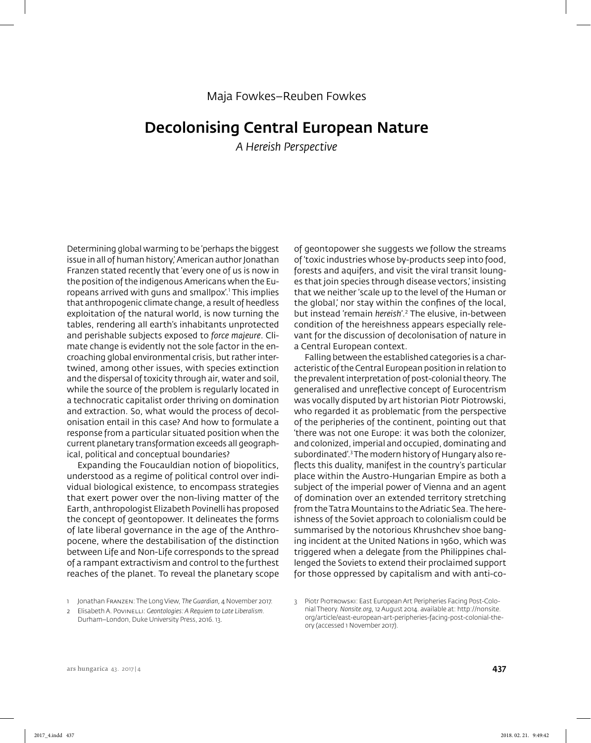# Decolonising Central European Nature

*A Hereish Perspective*

Determining global warming to be 'perhaps the biggest issue in all of human history,' American author Jonathan Franzen stated recently that 'every one of us is now in the position of the indigenous Americans when the Europeans arrived with guns and smallpox'.1 This implies that anthropogenic climate change, a result of heedless exploitation of the natural world, is now turning the tables, rendering all earth's inhabitants unprotected and perishable subjects exposed to *force majeure*. Climate change is evidently not the sole factor in the encroaching global environmental crisis, but rather intertwined, among other issues, with species extinction and the dispersal of toxicity through air, water and soil, while the source of the problem is regularly located in a technocratic capitalist order thriving on domination and extraction. So, what would the process of decolonisation entail in this case? And how to formulate a response from a particular situated position when the current planetary transformation exceeds all geographical, political and conceptual boundaries?

Expanding the Foucauldian notion of biopolitics, understood as a regime of political control over individual biological existence, to encompass strategies that exert power over the non-living matter of the Earth, anthropologist Elizabeth Povinelli has proposed the concept of geontopower. It delineates the forms of late liberal governance in the age of the Anthropocene, where the destabilisation of the distinction between Life and Non-Life corresponds to the spread of a rampant extractivism and control to the furthest reaches of the planet. To reveal the planetary scope

of geontopower she suggests we follow the streams of 'toxic industries whose by-products seep into food, forests and aquifers, and visit the viral transit lounges that join species through disease vectors,' insisting that we neither 'scale up to the level of the Human or the global,' nor stay within the confines of the local, but instead 'remain *hereish*'*.* 2 The elusive, in-between condition of the hereishness appears especially relevant for the discussion of decolonisation of nature in a Central European context.

Falling between the established categories is a characteristic of the Central European position in relation to the prevalent interpretation of post-colonial theory. The generalised and unreflective concept of Eurocentrism was vocally disputed by art historian Piotr Piotrowski, who regarded it as problematic from the perspective of the peripheries of the continent, pointing out that 'there was not one Europe: it was both the colonizer, and colonized, imperial and occupied, dominating and subordinated<sup>"</sup>.<sup>3</sup> The modern history of Hungary also reflects this duality, manifest in the country's particular place within the Austro-Hungarian Empire as both a subject of the imperial power of Vienna and an agent of domination over an extended territory stretching from the Tatra Mountains to the Adriatic Sea. The hereishness of the Soviet approach to colonialism could be summarised by the notorious Khrushchev shoe banging incident at the United Nations in 1960, which was triggered when a delegate from the Philippines challenged the Soviets to extend their proclaimed support for those oppressed by capitalism and with anti-co-

1 Jonathan Franzen: The Long View, *The Guardian,* 4 November 2017.

<sup>2</sup> Elisabeth A. Povinelli: *Geontologies: A Requiem to Late Liberalism.* Durham–London, Duke University Press, 2016. 13.

<sup>3</sup> Piotr Piotrowski: East European Art Peripheries Facing Post-Colonial Theory. *Nonsite.org,* 12 August 2014. available at: http://nonsite. org/article/east-european-art-peripheries-facing-post-colonial-theory (accessed 1 November 2017).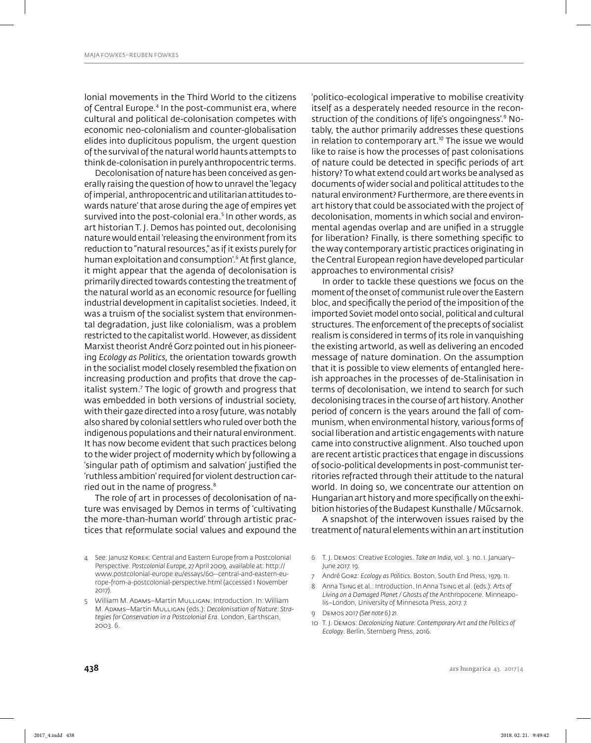lonial movements in the Third World to the citizens of Central Europe.4 In the post-communist era, where cultural and political de-colonisation competes with economic neo-colonialism and counter-globalisation elides into duplicitous populism, the urgent question of the survival of the natural world haunts attempts to think de-colonisation in purely anthropocentric terms.

Decolonisation of nature has been conceived as generally raising the question of how to unravel the 'legacy of imperial, anthropocentric and utilitarian attitudes towards nature' that arose during the age of empires yet survived into the post-colonial era.<sup>5</sup> In other words, as art historian T. J. Demos has pointed out, decolonising nature would entail 'releasing the environment from its reduction to "natural resources," as if it exists purely for human exploitation and consumption'.6 At fi rst glance, it might appear that the agenda of decolonisation is primarily directed towards contesting the treatment of the natural world as an economic resource for fuelling industrial development in capitalist societies. Indeed, it was a truism of the socialist system that environmental degradation, just like colonialism, was a problem restricted to the capitalist world. However, as dissident Marxist theorist André Gorz pointed out in his pioneering *Ecology as Politics,* the orientation towards growth in the socialist model closely resembled the fixation on increasing production and profits that drove the capitalist system.<sup>7</sup> The logic of growth and progress that was embedded in both versions of industrial society, with their gaze directed into a rosy future, was notably also shared by colonial settlers who ruled over both the indigenous populations and their natural environment. It has now become evident that such practices belong to the wider project of modernity which by following a 'singular path of optimism and salvation' justified the 'ruthless ambition' required for violent destruction carried out in the name of progress.<sup>8</sup>

The role of art in processes of decolonisation of nature was envisaged by Demos in terms of 'cultivating the more-than-human world' through artistic practices that reformulate social values and expound the

'politico-ecological imperative to mobilise creativity itself as a desperately needed resource in the reconstruction of the conditions of life's ongoingness'.9 Notably, the author primarily addresses these questions in relation to contemporary art. $10$  The issue we would like to raise is how the processes of past colonisations of nature could be detected in specific periods of art history? To what extend could art works be analysed as documents of wider social and political attitudes to the natural environment? Furthermore, are there events in art history that could be associated with the project of decolonisation, moments in which social and environmental agendas overlap and are unified in a struggle for liberation? Finally, is there something specific to the way contemporary artistic practices originating in the Central European region have developed particular approaches to environmental crisis?

In order to tackle these questions we focus on the moment of the onset of communist rule over the Eastern bloc, and specifically the period of the imposition of the imported Soviet model onto social, political and cultural structures. The enforcement of the precepts of socialist realism is considered in terms of its role in vanquishing the existing artworld, as well as delivering an encoded message of nature domination. On the assumption that it is possible to view elements of entangled hereish approaches in the processes of de-Stalinisation in terms of decolonisation, we intend to search for such decolonising traces in the course of art history. Another period of concern is the years around the fall of communism, when environmental history, various forms of social liberation and artistic engagements with nature came into constructive alignment. Also touched upon are recent artistic practices that engage in discussions of socio-political developments in post-communist territories refracted through their attitude to the natural world. In doing so, we concentrate our attention on Hungarian art history and more specifically on the exhibition histories of the Budapest Kunsthalle / Műcsarnok.

A snapshot of the interwoven issues raised by the treatment of natural elements within an art institution

- 6 T. J. Demos: Creative Ecologies. *Take on India,* vol. 3. no. 1. January– June 2017. 19.
- 7 André Gorz: *Ecology as Politics.* Boston, South End Press, 1979. 11.
- 8 Anna Tsing et al.: Introduction. In Anna Tsing et al. (eds.): *Arts of Living on a Damaged Planet / Ghosts of the* Anthropocene. Minneapolis–London, University of Minnesota Press, 2017. 7.
- 9 Demos 2017 *(See note 6)* 21.
- 10 T. J. Demos: *Decolonizing Nature: Contemporary Art and the Politics of Ecology*. Berlin, Sternberg Press, 2016.

<sup>4</sup> See: Janusz Korek: Central and Eastern Europe from a Postcolonial Perspective. *Postcolonial Europe,* 27 April 2009, available at: http:// www.postcolonial-europe.eu/essays/60--central-and-eastern-europe-from-a-postcolonial-perspective.html (accessed 1 November 2017).

<sup>5</sup> William M. Adams–Martin Mulligan: Introduction. In: William M. Adams–Martin Mulligan (eds.): *Decolonisation of Nature: Strategies for Conservation in a Postcolonial Era*. London, Earthscan, 2003. 6.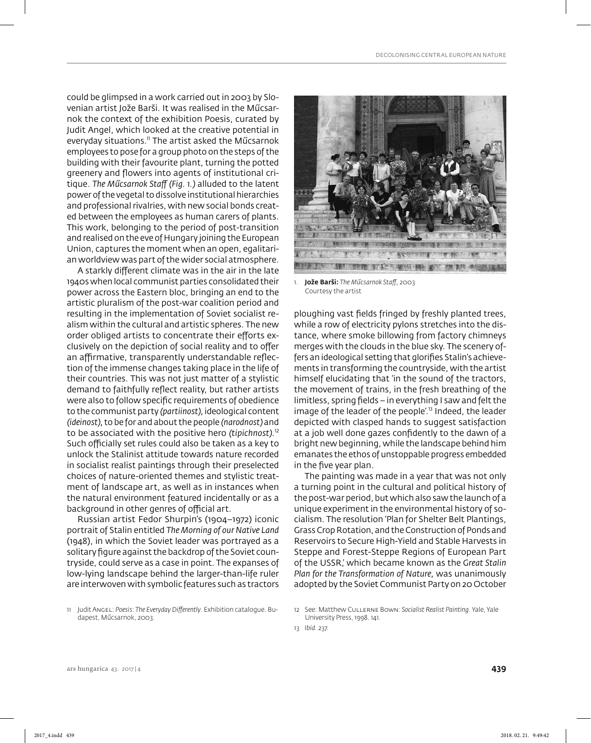could be glimpsed in a work carried out in 2003 by Slovenian artist Jože Barši. It was realised in the Műcsarnok the context of the exhibition Poesis, curated by Judit Angel, which looked at the creative potential in everyday situations.<sup>11</sup> The artist asked the Műcsarnok employees to pose for a group photo on the steps of the building with their favourite plant, turning the potted greenery and flowers into agents of institutional critique. *The Műcsarnok Staff (Fig. 1.)* alluded to the latent power of the vegetal to dissolve institutional hierarchies and professional rivalries, with new social bonds created between the employees as human carers of plants. This work, belonging to the period of post-transition and realised on the eve of Hungary joining the European Union, captures the moment when an open, egalitarian worldview was part of the wider social atmosphere.

A starkly different climate was in the air in the late 1940s when local communist parties consolidated their power across the Eastern bloc, bringing an end to the artistic pluralism of the post-war coalition period and resulting in the implementation of Soviet socialist realism within the cultural and artistic spheres. The new order obliged artists to concentrate their efforts exclusively on the depiction of social reality and to offer an affirmative, transparently understandable reflection of the immense changes taking place in the life of their countries. This was not just matter of a stylistic demand to faithfully reflect reality, but rather artists were also to follow specific requirements of obedience to the communist party *(partiinost),* ideological content *(ideinost),* to be for and about the people *(narodnost)* and to be associated with the positive hero *(tipichnost).*<sup>12</sup> Such officially set rules could also be taken as a key to unlock the Stalinist attitude towards nature recorded in socialist realist paintings through their preselected choices of nature-oriented themes and stylistic treatment of landscape art, as well as in instances when the natural environment featured incidentally or as a background in other genres of official art.

Russian artist Fedor Shurpin's (1904–1972) iconic portrait of Stalin entitled *The Morning of our Native Land* (1948), in which the Soviet leader was portrayed as a solitary figure against the backdrop of the Soviet countryside, could serve as a case in point. The expanses of low-lying landscape behind the larger-than-life ruler are interwoven with symbolic features such as tractors



1. Jože Barši: *The Műcsarnok Staff ,* 2003 Courtesy the artist

ploughing vast fields fringed by freshly planted trees, while a row of electricity pylons stretches into the distance, where smoke billowing from factory chimneys merges with the clouds in the blue sky. The scenery offers an ideological setting that glorifies Stalin's achievements in transforming the countryside, with the artist himself elucidating that 'in the sound of the tractors, the movement of trains, in the fresh breathing of the limitless, spring fields – in everything I saw and felt the image of the leader of the people'.<sup>13</sup> Indeed, the leader depicted with clasped hands to suggest satisfaction at a job well done gazes confidently to the dawn of a bright new beginning, while the landscape behind him emanates the ethos of unstoppable progress embedded in the five year plan.

The painting was made in a year that was not only a turning point in the cultural and political history of the post-war period, but which also saw the launch of a unique experiment in the environmental history of socialism. The resolution 'Plan for Shelter Belt Plantings, Grass Crop Rotation, and the Construction of Ponds and Reservoirs to Secure High-Yield and Stable Harvests in Steppe and Forest-Steppe Regions of European Part of the USSR,' which became known as the *Great Stalin Plan for the Transformation of Nature,* was unanimously adopted by the Soviet Communist Party on 20 October

<sup>11</sup> Judit Angel: Poesis: The Everyday Differently. Exhibition catalogue. Budapest, Műcsarnok, 2003.

<sup>12</sup> See: Matthew Cullerne Bown: *Socialist Realist Painting.* Yale, Yale University Press, 1998. 141.

<sup>13</sup> *Ibid.* 237.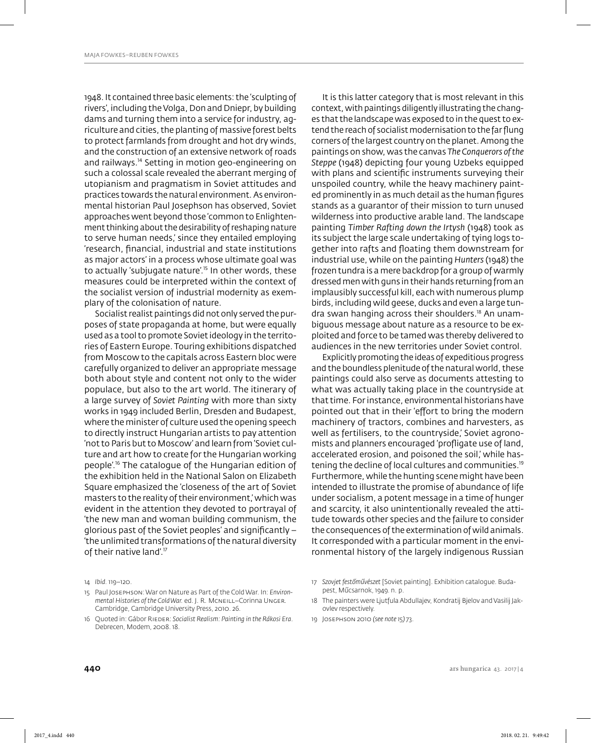1948. It contained three basic elements: the 'sculpting of rivers', including the Volga, Don and Dniepr, by building dams and turning them into a service for industry, agriculture and cities, the planting of massive forest belts to protect farmlands from drought and hot dry winds, and the construction of an extensive network of roads and railways.14 Setting in motion geo-engineering on such a colossal scale revealed the aberrant merging of utopianism and pragmatism in Soviet attitudes and practices towards the natural environment. As environmental historian Paul Josephson has observed, Soviet approaches went beyond those 'common to Enlightenment thinking about the desirability of reshaping nature to serve human needs,' since they entailed employing 'research, financial, industrial and state institutions as major actors' in a process whose ultimate goal was to actually 'subjugate nature'.<sup>15</sup> In other words, these measures could be interpreted within the context of the socialist version of industrial modernity as exemplary of the colonisation of nature.

Socialist realist paintings did not only served the purposes of state propaganda at home, but were equally used as a tool to promote Soviet ideology in the territories of Eastern Europe. Touring exhibitions dispatched from Moscow to the capitals across Eastern bloc were carefully organized to deliver an appropriate message both about style and content not only to the wider populace, but also to the art world. The itinerary of a large survey of *Soviet Painting* with more than sixty works in 1949 included Berlin, Dresden and Budapest, where the minister of culture used the opening speech to directly instruct Hungarian artists to pay attention 'not to Paris but to Moscow' and learn from 'Soviet culture and art how to create for the Hungarian working people'.16 The catalogue of the Hungarian edition of the exhibition held in the National Salon on Elizabeth Square emphasized the 'closeness of the art of Soviet masters to the reality of their environment,' which was evident in the attention they devoted to portrayal of 'the new man and woman building communism, the glorious past of the Soviet peoples' and significantly  $-$ 'the unlimited transformations of the natural diversity of their native land'.<sup>17</sup>

It is this latter category that is most relevant in this context, with paintings diligently illustrating the changes that the landscape was exposed to in the quest to extend the reach of socialist modernisation to the far flung corners of the largest country on the planet. Among the paintings on show, was the canvas *The Conquerors of the Steppe* (1948) depicting four young Uzbeks equipped with plans and scientific instruments surveying their unspoiled country, while the heavy machinery painted prominently in as much detail as the human figures stands as a guarantor of their mission to turn unused wilderness into productive arable land. The landscape painting *Timber Rafting down the Irtysh* (1948) took as its subject the large scale undertaking of tying logs together into rafts and floating them downstream for industrial use, while on the painting *Hunters* (1948) the frozen tundra is a mere backdrop for a group of warmly dressed men with guns in their hands returning from an implausibly successful kill, each with numerous plump birds, including wild geese, ducks and even a large tundra swan hanging across their shoulders.18 An unambiguous message about nature as a resource to be exploited and force to be tamed was thereby delivered to audiences in the new territories under Soviet control.

Explicitly promoting the ideas of expeditious progress and the boundless plenitude of the natural world, these paintings could also serve as documents attesting to what was actually taking place in the countryside at that time. For instance, environmental historians have pointed out that in their 'effort to bring the modern machinery of tractors, combines and harvesters, as well as fertilisers, to the countryside,' Soviet agronomists and planners encouraged 'profligate use of land, accelerated erosion, and poisoned the soil,' while hastening the decline of local cultures and communities.<sup>19</sup> Furthermore, while the hunting scene might have been intended to illustrate the promise of abundance of life under socialism, a potent message in a time of hunger and scarcity, it also unintentionally revealed the attitude towards other species and the failure to consider the consequences of the extermination of wild animals. It corresponded with a particular moment in the environmental history of the largely indigenous Russian

- 18 The painters were Ljutfula Abdullajev, Kondratij Bjelov and Vasilij Jakovlev respectively.
- 19 Josephson 2010 *(see note 15)* 73.

<sup>14</sup> *Ibid.* 119–120.

<sup>15</sup> Paul Josephson: War on Nature as Part of the Cold War. In: *Environmental Histories of the Cold War.* ed. J. R. Mcneill–Corinna Unger. Cambridge, Cambridge University Press, 2010. 26.

<sup>16</sup> Quoted in: Gábor Rieder: *Socialist Realism: Painting in the Rákosi Era*. Debrecen, Modem, 2008. 18.

<sup>17</sup> *Szovjet festőművészet* [Soviet painting]. Exhibition catalogue. Budapest, Műcsarnok, 1949. n. p.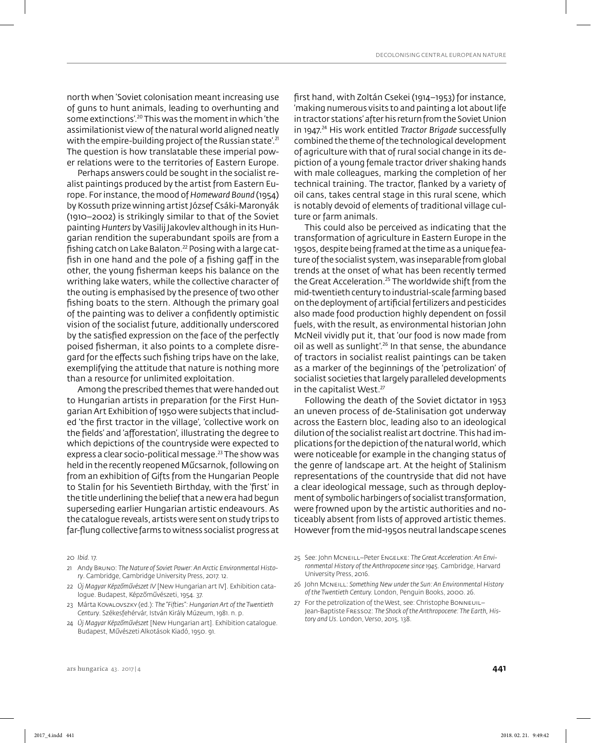north when 'Soviet colonisation meant increasing use of guns to hunt animals, leading to overhunting and some extinctions'.20 This was the moment in which 'the assimilationist view of the natural world aligned neatly with the empire-building project of the Russian state'.<sup>21</sup> The question is how translatable these imperial power relations were to the territories of Eastern Europe.

Perhaps answers could be sought in the socialist realist paintings produced by the artist from Eastern Europe. For instance, the mood of *Homeward Bound* (1954) by Kossuth prize winning artist József Csáki-Maronyák (1910–2002) is strikingly similar to that of the Soviet painting *Hunters* by Vasilij Jakovlev although in its Hungarian rendition the superabundant spoils are from a fishing catch on Lake Balaton.<sup>22</sup> Posing with a large catfish in one hand and the pole of a fishing gaff in the other, the young fisherman keeps his balance on the writhing lake waters, while the collective character of the outing is emphasised by the presence of two other fishing boats to the stern. Although the primary goal of the painting was to deliver a confidently optimistic vision of the socialist future, additionally underscored by the satisfied expression on the face of the perfectly poised fisherman, it also points to a complete disregard for the effects such fishing trips have on the lake, exemplifying the attitude that nature is nothing more than a resource for unlimited exploitation.

Among the prescribed themes that were handed out to Hungarian artists in preparation for the First Hungarian Art Exhibition of 1950 were subjects that included 'the first tractor in the village', 'collective work on the fields' and 'afforestation', illustrating the degree to which depictions of the countryside were expected to express a clear socio-political message. $^{23}$  The show was held in the recently reopened Műcsarnok, following on from an exhibition of Gifts from the Hungarian People to Stalin for his Seventieth Birthday, with the 'first' in the title underlining the belief that a new era had begun superseding earlier Hungarian artistic endeavours. As the catalogue reveals, artists were sent on study trips to far-flung collective farms to witness socialist progress at

20 *Ibid.* 17.

- 21 Andy Bruno: *The Nature of Soviet Power: An Arctic Environmental History*. Cambridge, Cambridge University Press, 2017. 12.
- 22 *Új Magyar Képzőművészet IV* [New Hungarian art IV]. Exhibition catalogue. Budapest, Képzőművészeti, 1954. 37.
- 23 Márta Kovalovszky (ed.): *The "Fifties": Hungarian Art of the Twentieth Century*. Székesfehérvár, István Király Múzeum, 1981. n. p.
- 24 *Új Magyar Képzőművészet* [New Hungarian art]. Exhibition catalogue. Budapest, Művészeti Alkotások Kiadó, 1950. 91.

first hand, with Zoltán Csekei (1914–1953) for instance, 'making numerous visits to and painting a lot about life in tractor stations' after his return from the Soviet Union in 1947.<sup>24</sup> His work entitled *Tractor Brigade* successfully combined the theme of the technological development of agriculture with that of rural social change in its depiction of a young female tractor driver shaking hands with male colleagues, marking the completion of her technical training. The tractor, flanked by a variety of oil cans, takes central stage in this rural scene, which is notably devoid of elements of traditional village culture or farm animals.

This could also be perceived as indicating that the transformation of agriculture in Eastern Europe in the 1950s, despite being framed at the time as a unique feature of the socialist system, was inseparable from global trends at the onset of what has been recently termed the Great Acceleration.<sup>25</sup> The worldwide shift from the mid-twentieth century to industrial-scale farming based on the deployment of artificial fertilizers and pesticides also made food production highly dependent on fossil fuels, with the result, as environmental historian John McNeil vividly put it, that 'our food is now made from oil as well as sunlight'.<sup>26</sup> In that sense, the abundance of tractors in socialist realist paintings can be taken as a marker of the beginnings of the 'petrolization' of socialist societies that largely paralleled developments in the capitalist West.<sup>27</sup>

Following the death of the Soviet dictator in 1953 an uneven process of de-Stalinisation got underway across the Eastern bloc, leading also to an ideological dilution of the socialist realist art doctrine. This had implications for the depiction of the natural world, which were noticeable for example in the changing status of the genre of landscape art. At the height of Stalinism representations of the countryside that did not have a clear ideological message, such as through deployment of symbolic harbingers of socialist transformation, were frowned upon by the artistic authorities and noticeably absent from lists of approved artistic themes. However from the mid-1950s neutral landscape scenes

27 For the petrolization of the West, see: Christophe Bonneuil– Jean-Baptiste Fressoz: *The Shock of the Anthropocene: The Earth, History and Us*. London, Verso, 2015. 138.

<sup>25</sup> See: John Mcneill–Peter Engelke: *The Great Acceleration: An Environmental History of the Anthropocene since 1945*. Cambridge, Harvard University Press, 2016.

<sup>26</sup> John Mcneill: *Something New under the Sun: An Environmental History of the Twentieth Century.* London, Penguin Books, 2000. 26.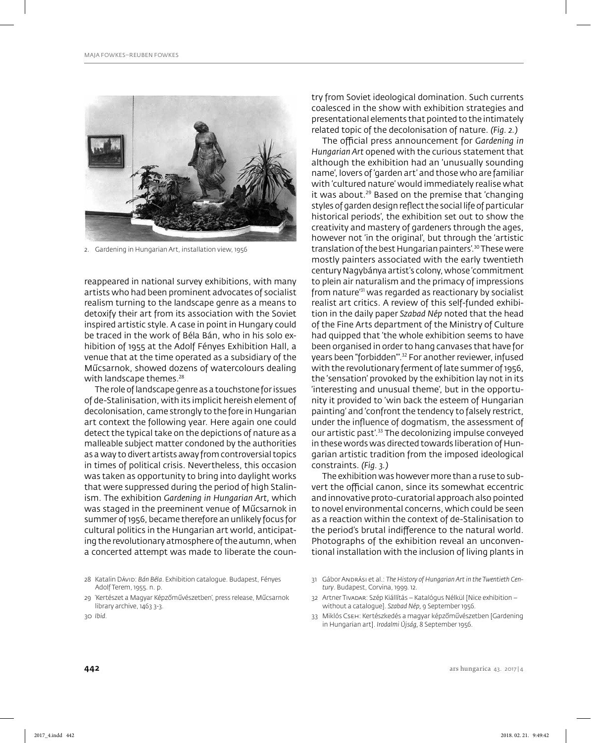

2. Gardening in Hungarian Art, installation view, 1956

reappeared in national survey exhibitions, with many artists who had been prominent advocates of socialist realism turning to the landscape genre as a means to detoxify their art from its association with the Soviet inspired artistic style. A case in point in Hungary could be traced in the work of Béla Bán, who in his solo exhibition of 1955 at the Adolf Fényes Exhibition Hall, a venue that at the time operated as a subsidiary of the Műcsarnok, showed dozens of watercolours dealing with landscape themes.<sup>28</sup>

The role of landscape genre as a touchstone for issues of de-Stalinisation, with its implicit hereish element of decolonisation, came strongly to the fore in Hungarian art context the following year. Here again one could detect the typical take on the depictions of nature as a malleable subject matter condoned by the authorities as a way to divert artists away from controversial topics in times of political crisis. Nevertheless, this occasion was taken as opportunity to bring into daylight works that were suppressed during the period of high Stalinism. The exhibition *Gardening in Hungarian Art,* which was staged in the preeminent venue of Műcsarnok in summer of 1956, became therefore an unlikely focus for cultural politics in the Hungarian art world, anticipating the revolutionary atmosphere of the autumn, when a concerted attempt was made to liberate the coun-

28 Katalin Dávid: *Bán Béla*. Exhibition catalogue. Budapest, Fényes Adolf Terem, 1955. n. p.

try from Soviet ideological domination. Such currents coalesced in the show with exhibition strategies and presentational elements that pointed to the intimately related topic of the decolonisation of nature. *(Fig. 2.)*

The official press announcement for *Gardening in Hungarian Art* opened with the curious statement that although the exhibition had an 'unusually sounding name', lovers of 'garden art' and those who are familiar with 'cultured nature' would immediately realise what it was about.<sup>29</sup> Based on the premise that 'changing styles of garden design reflect the social life of particular historical periods', the exhibition set out to show the creativity and mastery of gardeners through the ages, however not 'in the original', but through the 'artistic translation of the best Hungarian painters'.<sup>30</sup> These were mostly painters associated with the early twentieth century Nagybánya artist's colony, whose 'commitment to plein air naturalism and the primacy of impressions from nature'31 was regarded as reactionary by socialist realist art critics. A review of this self-funded exhibition in the daily paper *Szabad Nép* noted that the head of the Fine Arts department of the Ministry of Culture had quipped that 'the whole exhibition seems to have been organised in order to hang canvases that have for years been "forbidden"'.32 For another reviewer, infused with the revolutionary ferment of late summer of 1956, the 'sensation' provoked by the exhibition lay not in its 'interesting and unusual theme', but in the opportunity it provided to 'win back the esteem of Hungarian painting' and 'confront the tendency to falsely restrict, under the influence of dogmatism, the assessment of our artistic past'.33 The decolonizing impulse conveyed in these words was directed towards liberation of Hungarian artistic tradition from the imposed ideological constraints. *(Fig. 3.)*

The exhibition was however more than a ruse to subvert the official canon, since its somewhat eccentric and innovative proto-curatorial approach also pointed to novel environmental concerns, which could be seen as a reaction within the context of de-Stalinisation to the period's brutal indifference to the natural world. Photographs of the exhibition reveal an unconventional installation with the inclusion of living plants in

- 32 Artner Tivadar: Szép Kiállítás Katalógus Nélkül [Nice exhibition without a catalogue]. *Szabad Nép,* 9 September 1956.
- 33 Miklós Cseh: Kertészkedés a magyar képzőművészetben [Gardening in Hungarian art]. *Irodalmi Újság,* 8 September 1956.

<sup>29 &#</sup>x27;Kertészet a Magyar Képzőművészetben', press release, Műcsarnok library archive, 1463 3-3.

<sup>31</sup> Gábor Andrási et al.: *The History of Hungarian Art in the Twentieth Century*. Budapest, Corvina, 1999. 12.

<sup>30</sup> *Ibid.*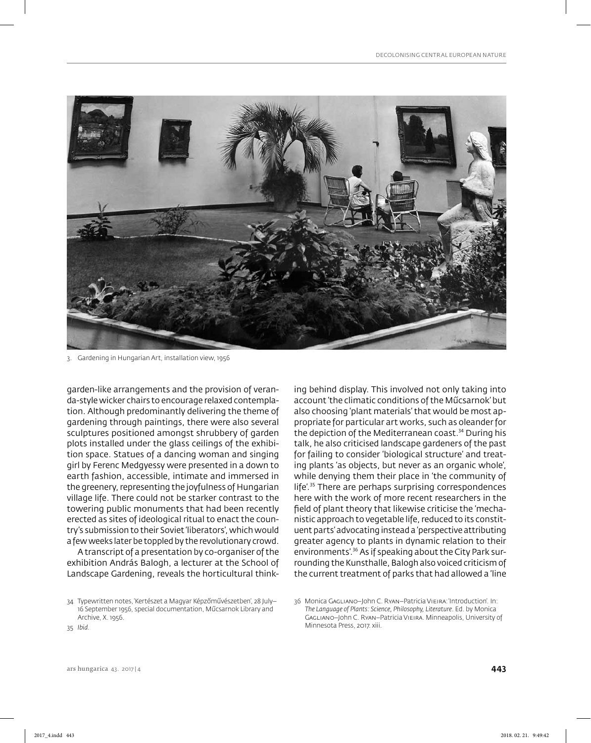

3. Gardening in Hungarian Art, installation view, 1956

garden-like arrangements and the provision of veranda-style wicker chairs to encourage relaxed contemplation. Although predominantly delivering the theme of gardening through paintings, there were also several sculptures positioned amongst shrubbery of garden plots installed under the glass ceilings of the exhibition space. Statues of a dancing woman and singing girl by Ferenc Medgyessy were presented in a down to earth fashion, accessible, intimate and immersed in the greenery, representing the joyfulness of Hungarian village life. There could not be starker contrast to the towering public monuments that had been recently erected as sites of ideological ritual to enact the country's submission to their Soviet 'liberators', which would a few weeks later be toppled by the revolutionary crowd.

A transcript of a presentation by co-organiser of the exhibition András Balogh, a lecturer at the School of Landscape Gardening, reveals the horticultural think-

35 *Ibid.*

ing behind display. This involved not only taking into account 'the climatic conditions of the Műcsarnok' but also choosing 'plant materials' that would be most appropriate for particular art works, such as oleander for the depiction of the Mediterranean coast.<sup>34</sup> During his talk, he also criticised landscape gardeners of the past for failing to consider 'biological structure' and treating plants 'as objects, but never as an organic whole', while denying them their place in 'the community of life'.35 There are perhaps surprising correspondences here with the work of more recent researchers in the field of plant theory that likewise criticise the 'mechanistic approach to vegetable life, reduced to its constituent parts' advocating instead a 'perspective attributing greater agency to plants in dynamic relation to their environments'.36 As if speaking about the City Park surrounding the Kunsthalle, Balogh also voiced criticism of the current treatment of parks that had allowed a 'line

<sup>34</sup> Typewritten notes, 'Kertészet a Magyar Képzőművészetben', 28 July– 16 September 1956, special documentation, Műcsarnok Library and Archive, X. 1956.

<sup>36</sup> Monica GAGLIANO-John C. RYAN-Patricia VIEIRA: 'Introduction'. In: *The Language of Plants: Science, Philosophy, Literature*. Ed. by Monica Gagliano–John C. Ryan–Patricia Vieira. Minneapolis, University of Minnesota Press, 2017. xiii.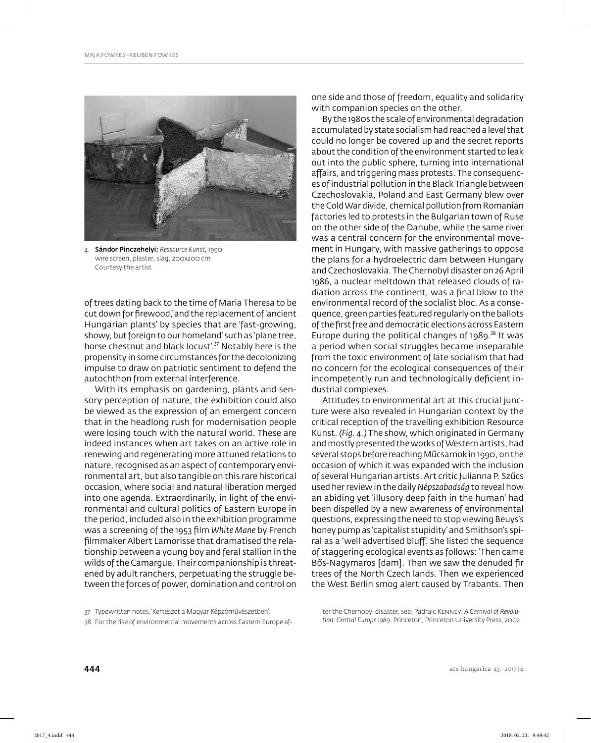

4. Sándor Pinczehelyi: *Ressource Kunst,* 1990 wire screen, plaster, slag, 200x200 cm Courtesy the artist

of trees dating back to the time of Maria Theresa to be cut down for firewood, and the replacement of 'ancient Hungarian plants' by species that are 'fast-growing, showy, but foreign to our homeland' such as 'plane tree, horse chestnut and black locust'.<sup>37</sup> Notably here is the propensity in some circumstances for the decolonizing impulse to draw on patriotic sentiment to defend the autochthon from external interference.

With its emphasis on gardening, plants and sensory perception of nature, the exhibition could also be viewed as the expression of an emergent concern that in the headlong rush for modernisation people were losing touch with the natural world. These are indeed instances when art takes on an active role in renewing and regenerating more attuned relations to nature, recognised as an aspect of contemporary environmental art, but also tangible on this rare historical occasion, where social and natural liberation merged into one agenda. Extraordinarily, in light of the environmental and cultural politics of Eastern Europe in the period, included also in the exhibition programme was a screening of the 1953 film *White Mane* by French filmmaker Albert Lamorisse that dramatised the relationship between a young boy and feral stallion in the wilds of the Camargue. Their companionship is threatened by adult ranchers, perpetuating the struggle between the forces of power, domination and control on

one side and those of freedom, equality and solidarity with companion species on the other.

By the 1980s the scale of environmental degradation accumulated by state socialism had reached a level that could no longer be covered up and the secret reports about the condition of the environment started to leak out into the public sphere, turning into international affairs, and triggering mass protests. The consequences of industrial pollution in the Black Triangle between Czechoslovakia, Poland and East Germany blew over the Cold War divide, chemical pollution from Romanian factories led to protests in the Bulgarian town of Ruse on the other side of the Danube, while the same river was a central concern for the environmental movement in Hungary, with massive gatherings to oppose the plans for a hydroelectric dam between Hungary and Czechoslovakia. The Chernobyl disaster on 26 April 1986, a nuclear meltdown that released clouds of radiation across the continent, was a final blow to the environmental record of the socialist bloc. As a consequence, green parties featured regularly on the ballots of the first free and democratic elections across Eastern Europe during the political changes of  $1989$ .<sup>38</sup> It was a period when social struggles became inseparable from the toxic environment of late socialism that had no concern for the ecological consequences of their incompetently run and technologically deficient industrial complexes.

Attitudes to environmental art at this crucial juncture were also revealed in Hungarian context by the critical reception of the travelling exhibition Resource Kunst. *(Fig. 4.)* The show, which originated in Germany and mostly presented the works of Western artists, had several stops before reaching Műcsarnok in 1990, on the occasion of which it was expanded with the inclusion of several Hungarian artists. Art critic Julianna P. Szűcs used her review in the daily *Népszabadság* to reveal how an abiding yet 'illusory deep faith in the human' had been dispelled by a new awareness of environmental questions, expressing the need to stop viewing Beuys's honey pump as 'capitalist stupidity' and Smithson's spiral as a 'well advertised bluff'. She listed the sequence of staggering ecological events as follows: 'Then came Bős-Nagymaros [dam]. Then we saw the denuded fir trees of the North Czech lands. Then we experienced the West Berlin smog alert caused by Trabants. Then

ter the Chernobyl disaster, see: Padraic Kenney: *A Carnival of Revolution: Central Europe 1989*. Princeton, Princeton University Press, 2002.

<sup>37</sup> Typewritten notes, 'Kertészet a Magyar Képzőművészetben'.

<sup>38</sup> For the rise of environmental movements across Eastern Europe af-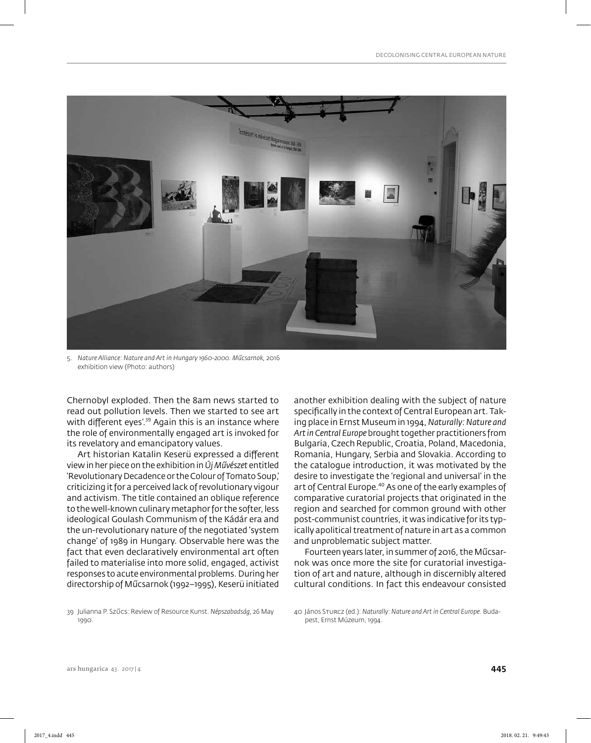

5. *Nature Alliance: Nature and Art in Hungary 1960-2000. Műcsarnok,* 2016 exhibition view (Photo: authors)

Chernobyl exploded. Then the 8am news started to read out pollution levels. Then we started to see art with different eyes'.<sup>39</sup> Again this is an instance where the role of environmentally engaged art is invoked for its revelatory and emancipatory values.

Art historian Katalin Keserü expressed a different view in her piece on the exhibition in *Új Művészet* entitled 'Revolutionary Decadence or the Colour of Tomato Soup,' criticizing it for a perceived lack of revolutionary vigour and activism. The title contained an oblique reference to the well-known culinary metaphor for the softer, less ideological Goulash Communism of the Kádár era and the un-revolutionary nature of the negotiated 'system change' of 1989 in Hungary. Observable here was the fact that even declaratively environmental art often failed to materialise into more solid, engaged, activist responses to acute environmental problems. During her directorship of Műcsarnok (1992–1995), Keserü initiated

another exhibition dealing with the subject of nature specifically in the context of Central European art. Taking place in Ernst Museum in 1994, *Naturally: Nature and Art in Central Europe* brought together practitioners from Bulgaria, Czech Republic, Croatia, Poland, Macedonia, Romania, Hungary, Serbia and Slovakia. According to the catalogue introduction, it was motivated by the desire to investigate the 'regional and universal' in the art of Central Europe.<sup>40</sup> As one of the early examples of comparative curatorial projects that originated in the region and searched for common ground with other post-communist countries, it was indicative for its typically apolitical treatment of nature in art as a common and unproblematic subject matter.

Fourteen years later, in summer of 2016, the Műcsarnok was once more the site for curatorial investigation of art and nature, although in discernibly altered cultural conditions. In fact this endeavour consisted

<sup>39</sup> Julianna P. Szűcs: Review of Resource Kunst. *Népszabadság,* 26 May 1990.

<sup>40</sup> János Sturcz (ed.): *Naturally: Nature and Art in Central Europe*. Budapest, Ernst Múzeum, 1994.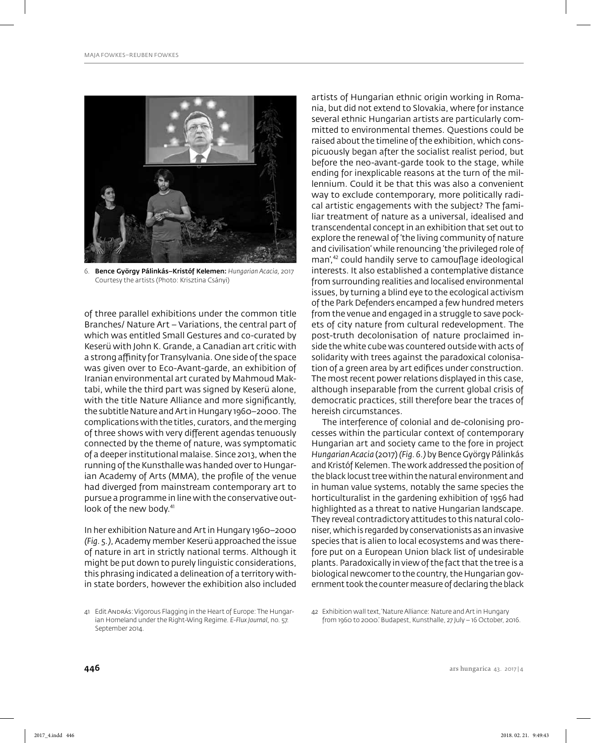

6. Bence György Pálinkás–Kristóf Kelemen: *Hungarian Acacia,* 2017 Courtesy the artists (Photo: Krisztina Csányi)

of three parallel exhibitions under the common title Branches/ Nature Art – Variations, the central part of which was entitled Small Gestures and co-curated by Keserü with John K. Grande, a Canadian art critic with a strong affinity for Transylvania. One side of the space was given over to Eco-Avant-garde, an exhibition of Iranian environmental art curated by Mahmoud Maktabi, while the third part was signed by Keserü alone, with the title Nature Alliance and more significantly, the subtitle Nature and Art in Hungary 1960–2000. The complications with the titles, curators, and the merging of three shows with very different agendas tenuously connected by the theme of nature, was symptomatic of a deeper institutional malaise. Since 2013, when the running of the Kunsthalle was handed over to Hungarian Academy of Arts (MMA), the profile of the venue had diverged from mainstream contemporary art to pursue a programme in line with the conservative outlook of the new body.<sup>41</sup>

In her exhibition Nature and Art in Hungary 1960–2000 *(Fig. 5.)*, Academy member Keserü approached the issue of nature in art in strictly national terms. Although it might be put down to purely linguistic considerations, this phrasing indicated a delineation of a territory within state borders, however the exhibition also included artists of Hungarian ethnic origin working in Romania, but did not extend to Slovakia, where for instance several ethnic Hungarian artists are particularly committed to environmental themes. Questions could be raised about the timeline of the exhibition, which conspicuously began after the socialist realist period, but before the neo-avant-garde took to the stage, while ending for inexplicable reasons at the turn of the millennium. Could it be that this was also a convenient way to exclude contemporary, more politically radical artistic engagements with the subject? The familiar treatment of nature as a universal, idealised and transcendental concept in an exhibition that set out to explore the renewal of 'the living community of nature and civilisation' while renouncing 'the privileged role of man',<sup>42</sup> could handily serve to camouflage ideological interests. It also established a contemplative distance from surrounding realities and localised environmental issues, by turning a blind eye to the ecological activism of the Park Defenders encamped a few hundred meters from the venue and engaged in a struggle to save pockets of city nature from cultural redevelopment. The post-truth decolonisation of nature proclaimed inside the white cube was countered outside with acts of solidarity with trees against the paradoxical colonisation of a green area by art edifices under construction. The most recent power relations displayed in this case, although inseparable from the current global crisis of democratic practices, still therefore bear the traces of hereish circumstances.

The interference of colonial and de-colonising processes within the particular context of contemporary Hungarian art and society came to the fore in project *Hungarian Acacia* (2017) *(Fig. 6.)* by Bence György Pálinkás and Kristóf Kelemen. The work addressed the position of the black locust tree within the natural environment and in human value systems, notably the same species the horticulturalist in the gardening exhibition of 1956 had highlighted as a threat to native Hungarian landscape. They reveal contradictory attitudes to this natural coloniser, which is regarded by conservationists as an invasive species that is alien to local ecosystems and was therefore put on a European Union black list of undesirable plants. Paradoxically in view of the fact that the tree is a biological newcomer to the country, the Hungarian government took the counter measure of declaring the black

<sup>41</sup> Edit András: Vigorous Flagging in the Heart of Europe: The Hungarian Homeland under the Right-Wing Regime. *E-Flux Journal,* no. 57. September 2014.

<sup>42</sup> Exhibition wall text, 'Nature Alliance: Nature and Art in Hungary from 1960 to 2000.' Budapest, Kunsthalle, 27 July – 16 October, 2016.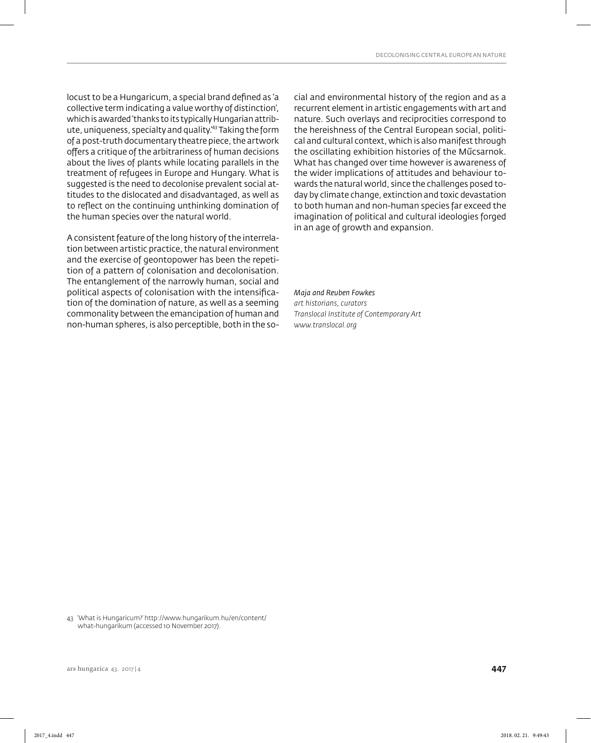locust to be a Hungaricum, a special brand defined as 'a collective term indicating a value worthy of distinction', which is awarded 'thanks to its typically Hungarian attribute, uniqueness, specialty and quality.'43 Taking the form of a post-truth documentary theatre piece, the artwork offers a critique of the arbitrariness of human decisions about the lives of plants while locating parallels in the treatment of refugees in Europe and Hungary. What is suggested is the need to decolonise prevalent social attitudes to the dislocated and disadvantaged, as well as to reflect on the continuing unthinking domination of the human species over the natural world.

A consistent feature of the long history of the interrelation between artistic practice, the natural environment and the exercise of geontopower has been the repetition of a pattern of colonisation and decolonisation. The entanglement of the narrowly human, social and political aspects of colonisation with the intensification of the domination of nature, as well as a seeming commonality between the emancipation of human and non-human spheres, is also perceptible, both in the social and environmental history of the region and as a recurrent element in artistic engagements with art and nature. Such overlays and reciprocities correspond to the hereishness of the Central European social, political and cultural context, which is also manifest through the oscillating exhibition histories of the Műcsarnok. What has changed over time however is awareness of the wider implications of attitudes and behaviour towards the natural world, since the challenges posed today by climate change, extinction and toxic devastation to both human and non-human species far exceed the imagination of political and cultural ideologies forged in an age of growth and expansion.

#### *Maja and Reuben Fowkes*

*art historians, curators Translocal Institute of Contemporary Art www.translocal.org*

43 'What is Hungaricum?' http://www.hungarikum.hu/en/content/ what-hungarikum (accessed 10 November 2017).